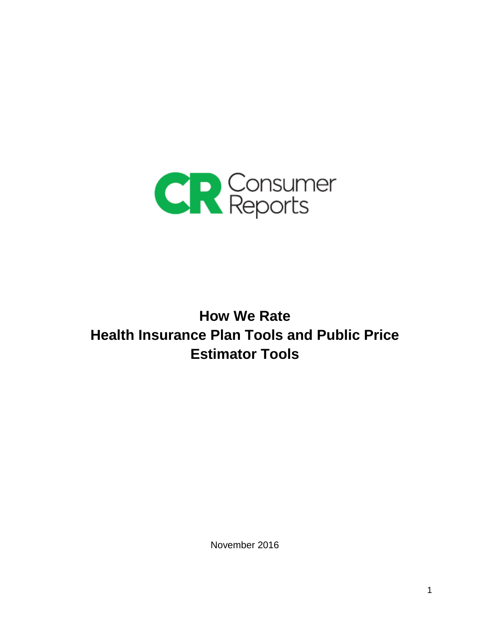

# **How We Rate Health Insurance Plan Tools and Public Price Estimator Tools**

November 2016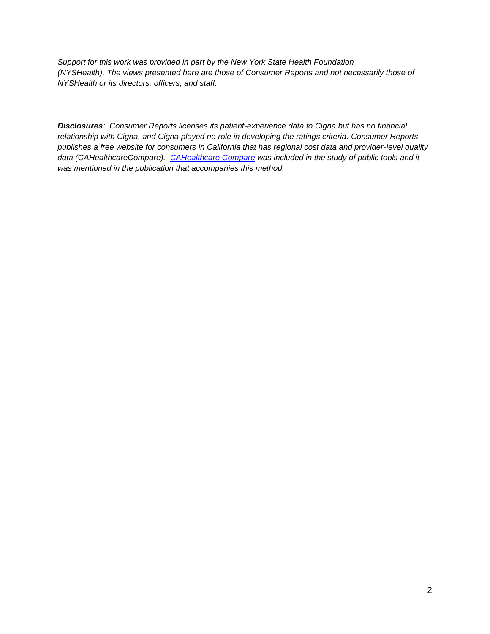*Support for this work was provided in part by the New York State Health Foundation (NYSHealth). The views presented here are those of Consumer Reports and not necessarily those of NYSHealth or its directors, officers, and staff.*

*Disclosures: Consumer Reports licenses its patient-experience data to Cigna but has no financial relationship with Cigna, and Cigna played no role in developing the ratings criteria. Consumer Reports publishes a free website for consumers in California that has regional cost data and provider-level quality data (CAHealthcareCompare). [CAHealthcare Compare](http://www.cahealthcarecompare.org/) was included in the study of public tools and it was mentioned in the publication that accompanies this method.*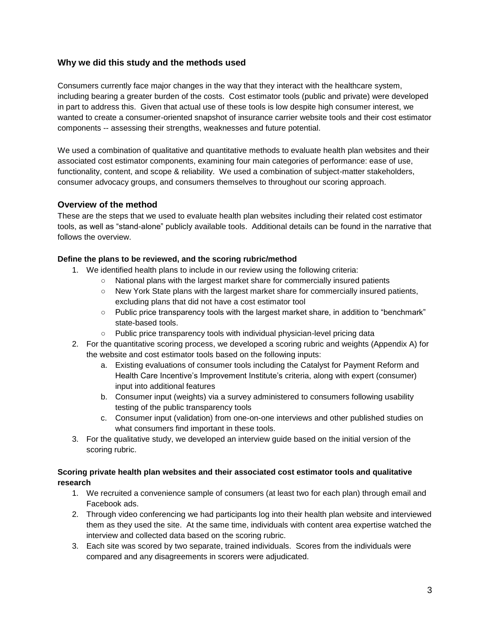# **Why we did this study and the methods used**

Consumers currently face major changes in the way that they interact with the healthcare system, including bearing a greater burden of the costs. Cost estimator tools (public and private) were developed in part to address this. Given that actual use of these tools is low despite high consumer interest, we wanted to create a consumer-oriented snapshot of insurance carrier website tools and their cost estimator components -- assessing their strengths, weaknesses and future potential.

We used a combination of qualitative and quantitative methods to evaluate health plan websites and their associated cost estimator components, examining four main categories of performance: ease of use, functionality, content, and scope & reliability. We used a combination of subject-matter stakeholders, consumer advocacy groups, and consumers themselves to throughout our scoring approach.

# **Overview of the method**

These are the steps that we used to evaluate health plan websites including their related cost estimator tools, as well as "stand-alone" publicly available tools. Additional details can be found in the narrative that follows the overview.

## **Define the plans to be reviewed, and the scoring rubric/method**

- 1. We identified health plans to include in our review using the following criteria:
	- National plans with the largest market share for commercially insured patients
	- New York State plans with the largest market share for commercially insured patients, excluding plans that did not have a cost estimator tool
	- Public price transparency tools with the largest market share, in addition to "benchmark" state-based tools.
	- Public price transparency tools with individual physician-level pricing data
- 2. For the quantitative scoring process, we developed a scoring rubric and weights (Appendix A) for the website and cost estimator tools based on the following inputs:
	- a. Existing evaluations of consumer tools including the Catalyst for Payment Reform and Health Care Incentive's Improvement Institute's criteria, along with expert (consumer) input into additional features
	- b. Consumer input (weights) via a survey administered to consumers following usability testing of the public transparency tools
	- c. Consumer input (validation) from one-on-one interviews and other published studies on what consumers find important in these tools.
- 3. For the qualitative study, we developed an interview guide based on the initial version of the scoring rubric.

# **Scoring private health plan websites and their associated cost estimator tools and qualitative research**

- 1. We recruited a convenience sample of consumers (at least two for each plan) through email and Facebook ads.
- 2. Through video conferencing we had participants log into their health plan website and interviewed them as they used the site. At the same time, individuals with content area expertise watched the interview and collected data based on the scoring rubric.
- 3. Each site was scored by two separate, trained individuals. Scores from the individuals were compared and any disagreements in scorers were adjudicated.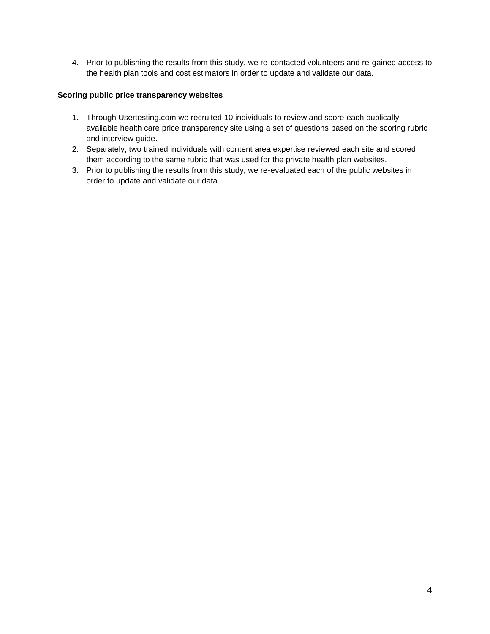4. Prior to publishing the results from this study, we re-contacted volunteers and re-gained access to the health plan tools and cost estimators in order to update and validate our data.

# **Scoring public price transparency websites**

- 1. Through Usertesting.com we recruited 10 individuals to review and score each publically available health care price transparency site using a set of questions based on the scoring rubric and interview guide.
- 2. Separately, two trained individuals with content area expertise reviewed each site and scored them according to the same rubric that was used for the private health plan websites.
- 3. Prior to publishing the results from this study, we re-evaluated each of the public websites in order to update and validate our data.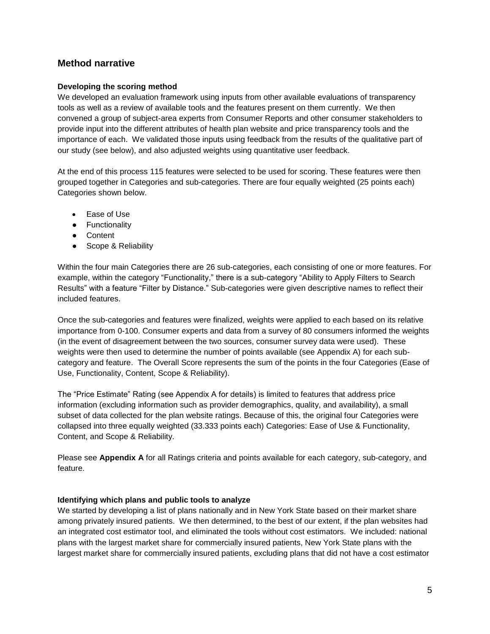# **Method narrative**

#### **Developing the scoring method**

We developed an evaluation framework using inputs from other available evaluations of transparency tools as well as a review of available tools and the features present on them currently. We then convened a group of subject-area experts from Consumer Reports and other consumer stakeholders to provide input into the different attributes of health plan website and price transparency tools and the importance of each. We validated those inputs using feedback from the results of the qualitative part of our study (see below), and also adjusted weights using quantitative user feedback.

At the end of this process 115 features were selected to be used for scoring. These features were then grouped together in Categories and sub-categories. There are four equally weighted (25 points each) Categories shown below.

- Ease of Use
- Functionality
- Content
- Scope & Reliability

Within the four main Categories there are 26 sub-categories, each consisting of one or more features. For example, within the category "Functionality," there is a sub-category "Ability to Apply Filters to Search Results" with a feature "Filter by Distance." Sub-categories were given descriptive names to reflect their included features.

Once the sub-categories and features were finalized, weights were applied to each based on its relative importance from 0-100. Consumer experts and data from a survey of 80 consumers informed the weights (in the event of disagreement between the two sources, consumer survey data were used). These weights were then used to determine the number of points available (see Appendix A) for each subcategory and feature. The Overall Score represents the sum of the points in the four Categories (Ease of Use, Functionality, Content, Scope & Reliability).

The "Price Estimate" Rating (see Appendix A for details) is limited to features that address price information (excluding information such as provider demographics, quality, and availability), a small subset of data collected for the plan website ratings. Because of this, the original four Categories were collapsed into three equally weighted (33.333 points each) Categories: Ease of Use & Functionality, Content, and Scope & Reliability.

Please see **Appendix A** for all Ratings criteria and points available for each category, sub-category, and feature.

#### **Identifying which plans and public tools to analyze**

We started by developing a list of plans nationally and in New York State based on their market share among privately insured patients. We then determined, to the best of our extent, if the plan websites had an integrated cost estimator tool, and eliminated the tools without cost estimators. We included: national plans with the largest market share for commercially insured patients, New York State plans with the largest market share for commercially insured patients, excluding plans that did not have a cost estimator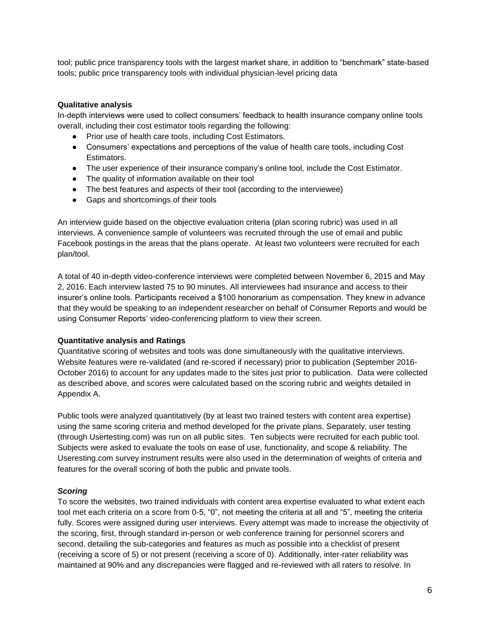tool; public price transparency tools with the largest market share, in addition to "benchmark" state-based tools; public price transparency tools with individual physician-level pricing data

#### **Qualitative analysis**

In-depth interviews were used to collect consumers' feedback to health insurance company online tools overall, including their cost estimator tools regarding the following:

- Prior use of health care tools, including Cost Estimators.
- Consumers' expectations and perceptions of the value of health care tools, including Cost Estimators.
- The user experience of their insurance company's online tool, include the Cost Estimator.
- The quality of information available on their tool
- The best features and aspects of their tool (according to the interviewee)
- Gaps and shortcomings of their tools

An interview guide based on the objective evaluation criteria (plan scoring rubric) was used in all interviews. A convenience sample of volunteers was recruited through the use of email and public Facebook postings in the areas that the plans operate. At least two volunteers were recruited for each plan/tool.

A total of 40 in-depth video-conference interviews were completed between November 6, 2015 and May 2, 2016. Each interview lasted 75 to 90 minutes. All interviewees had insurance and access to their insurer's online tools. Participants received a \$100 honorarium as compensation. They knew in advance that they would be speaking to an independent researcher on behalf of Consumer Reports and would be using Consumer Reports' video-conferencing platform to view their screen.

#### **Quantitative analysis and Ratings**

Quantitative scoring of websites and tools was done simultaneously with the qualitative interviews. Website features were re-validated (and re-scored if necessary) prior to publication (September 2016- October 2016) to account for any updates made to the sites just prior to publication. Data were collected as described above, and scores were calculated based on the scoring rubric and weights detailed in Appendix A.

Public tools were analyzed quantitatively (by at least two trained testers with content area expertise) using the same scoring criteria and method developed for the private plans. Separately, user testing (through Usertesting.com) was run on all public sites. Ten subjects were recruited for each public tool. Subjects were asked to evaluate the tools on ease of use, functionality, and scope & reliability. The Useresting.com survey instrument results were also used in the determination of weights of criteria and features for the overall scoring of both the public and private tools.

#### *Scoring*

To score the websites, two trained individuals with content area expertise evaluated to what extent each tool met each criteria on a score from 0-5, "0", not meeting the criteria at all and "5", meeting the criteria fully. Scores were assigned during user interviews. Every attempt was made to increase the objectivity of the scoring, first, through standard in-person or web conference training for personnel scorers and second, detailing the sub-categories and features as much as possible into a checklist of present (receiving a score of 5) or not present (receiving a score of 0). Additionally, inter-rater reliability was maintained at 90% and any discrepancies were flagged and re-reviewed with all raters to resolve. In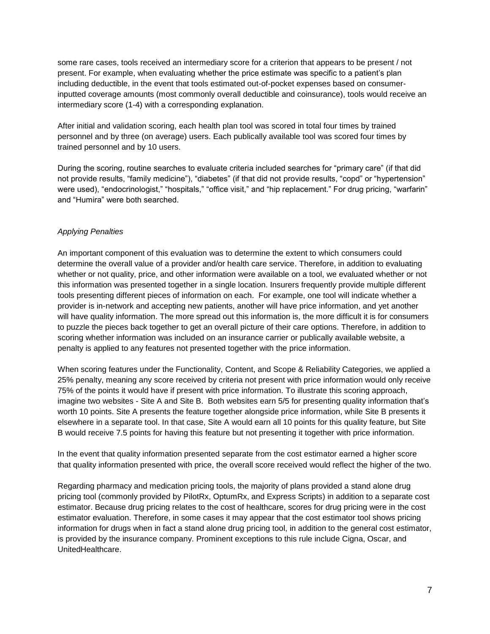some rare cases, tools received an intermediary score for a criterion that appears to be present / not present. For example, when evaluating whether the price estimate was specific to a patient's plan including deductible, in the event that tools estimated out-of-pocket expenses based on consumerinputted coverage amounts (most commonly overall deductible and coinsurance), tools would receive an intermediary score (1-4) with a corresponding explanation.

After initial and validation scoring, each health plan tool was scored in total four times by trained personnel and by three (on average) users. Each publically available tool was scored four times by trained personnel and by 10 users.

During the scoring, routine searches to evaluate criteria included searches for "primary care" (if that did not provide results, "family medicine"), "diabetes" (if that did not provide results, "copd" or "hypertension" were used), "endocrinologist," "hospitals," "office visit," and "hip replacement." For drug pricing, "warfarin" and "Humira" were both searched.

## *Applying Penalties*

An important component of this evaluation was to determine the extent to which consumers could determine the overall value of a provider and/or health care service. Therefore, in addition to evaluating whether or not quality, price, and other information were available on a tool, we evaluated whether or not this information was presented together in a single location. Insurers frequently provide multiple different tools presenting different pieces of information on each. For example, one tool will indicate whether a provider is in-network and accepting new patients, another will have price information, and yet another will have quality information. The more spread out this information is, the more difficult it is for consumers to puzzle the pieces back together to get an overall picture of their care options. Therefore, in addition to scoring whether information was included on an insurance carrier or publically available website, a penalty is applied to any features not presented together with the price information.

When scoring features under the Functionality, Content, and Scope & Reliability Categories, we applied a 25% penalty, meaning any score received by criteria not present with price information would only receive 75% of the points it would have if present with price information. To illustrate this scoring approach, imagine two websites - Site A and Site B. Both websites earn 5/5 for presenting quality information that's worth 10 points. Site A presents the feature together alongside price information, while Site B presents it elsewhere in a separate tool. In that case, Site A would earn all 10 points for this quality feature, but Site B would receive 7.5 points for having this feature but not presenting it together with price information.

In the event that quality information presented separate from the cost estimator earned a higher score that quality information presented with price, the overall score received would reflect the higher of the two.

Regarding pharmacy and medication pricing tools, the majority of plans provided a stand alone drug pricing tool (commonly provided by PilotRx, OptumRx, and Express Scripts) in addition to a separate cost estimator. Because drug pricing relates to the cost of healthcare, scores for drug pricing were in the cost estimator evaluation. Therefore, in some cases it may appear that the cost estimator tool shows pricing information for drugs when in fact a stand alone drug pricing tool, in addition to the general cost estimator, is provided by the insurance company. Prominent exceptions to this rule include Cigna, Oscar, and UnitedHealthcare.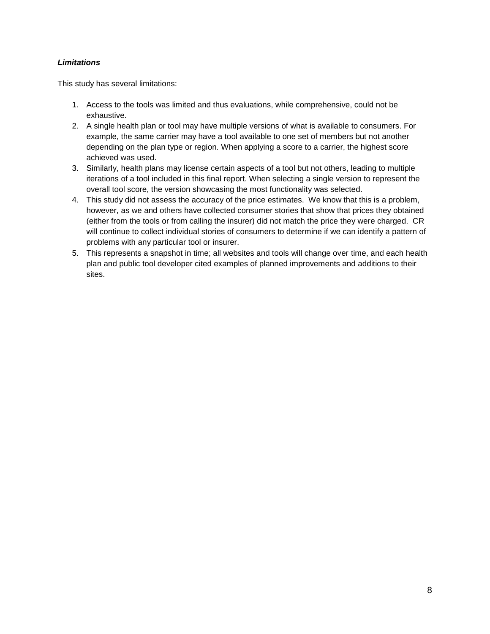# *Limitations*

This study has several limitations:

- 1. Access to the tools was limited and thus evaluations, while comprehensive, could not be exhaustive.
- 2. A single health plan or tool may have multiple versions of what is available to consumers. For example, the same carrier may have a tool available to one set of members but not another depending on the plan type or region. When applying a score to a carrier, the highest score achieved was used.
- 3. Similarly, health plans may license certain aspects of a tool but not others, leading to multiple iterations of a tool included in this final report. When selecting a single version to represent the overall tool score, the version showcasing the most functionality was selected.
- 4. This study did not assess the accuracy of the price estimates. We know that this is a problem, however, as we and others have collected consumer stories that show that prices they obtained (either from the tools or from calling the insurer) did not match the price they were charged. CR will continue to collect individual stories of consumers to determine if we can identify a pattern of problems with any particular tool or insurer.
- 5. This represents a snapshot in time; all websites and tools will change over time, and each health plan and public tool developer cited examples of planned improvements and additions to their sites.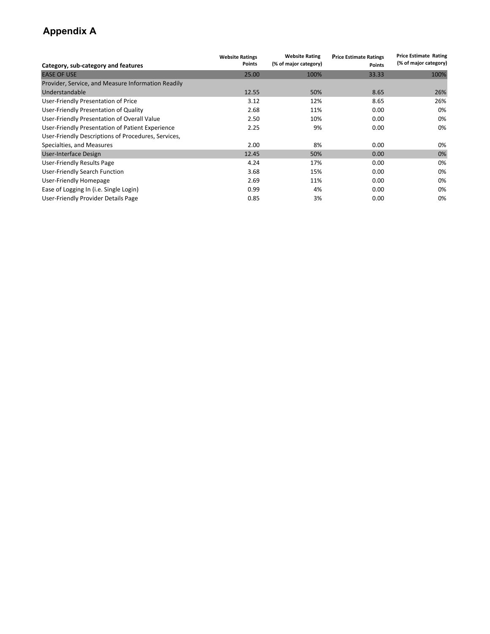# **Appendix A**

| Category, sub-category and features                 | <b>Website Ratings</b><br>Points | <b>Website Rating</b><br>(% of major category) | <b>Price Estimate Ratings</b><br>Points | <b>Price Estimate Rating</b><br>(% of major category) |
|-----------------------------------------------------|----------------------------------|------------------------------------------------|-----------------------------------------|-------------------------------------------------------|
| <b>EASE OF USE</b>                                  | 25.00                            | 100%                                           | 33.33                                   | 100%                                                  |
| Provider, Service, and Measure Information Readily  |                                  |                                                |                                         |                                                       |
| Understandable                                      | 12.55                            | 50%                                            | 8.65                                    | 26%                                                   |
| User-Friendly Presentation of Price                 | 3.12                             | 12%                                            | 8.65                                    | 26%                                                   |
| User-Friendly Presentation of Quality               | 2.68                             | 11%                                            | 0.00                                    | 0%                                                    |
| User-Friendly Presentation of Overall Value         | 2.50                             | 10%                                            | 0.00                                    | 0%                                                    |
| User-Friendly Presentation of Patient Experience    | 2.25                             | 9%                                             | 0.00                                    | 0%                                                    |
| User-Friendly Descriptions of Procedures, Services, |                                  |                                                |                                         |                                                       |
| Specialties, and Measures                           | 2.00                             | 8%                                             | 0.00                                    | 0%                                                    |
| User-Interface Design                               | 12.45                            | 50%                                            | 0.00                                    | 0%                                                    |
| User-Friendly Results Page                          | 4.24                             | 17%                                            | 0.00                                    | 0%                                                    |
| User-Friendly Search Function                       | 3.68                             | 15%                                            | 0.00                                    | 0%                                                    |
| User-Friendly Homepage                              | 2.69                             | 11%                                            | 0.00                                    | 0%                                                    |
| Ease of Logging In (i.e. Single Login)              | 0.99                             | 4%                                             | 0.00                                    | 0%                                                    |
| User-Friendly Provider Details Page                 | 0.85                             | 3%                                             | 0.00                                    | 0%                                                    |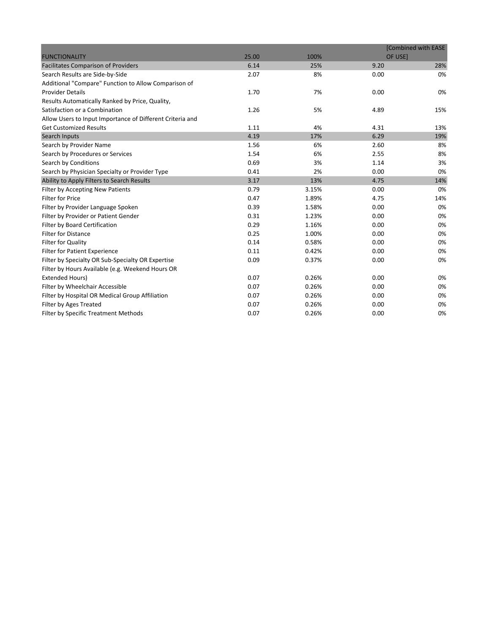|                                                           |       |       | [Combined with EASE |     |
|-----------------------------------------------------------|-------|-------|---------------------|-----|
| <b>FUNCTIONALITY</b>                                      | 25.00 | 100%  | OF USE]             |     |
| <b>Facilitates Comparison of Providers</b>                | 6.14  | 25%   | 9.20                | 28% |
| Search Results are Side-by-Side                           | 2.07  | 8%    | 0.00                | 0%  |
| Additional "Compare" Function to Allow Comparison of      |       |       |                     |     |
| <b>Provider Details</b>                                   | 1.70  | 7%    | 0.00                | 0%  |
| Results Automatically Ranked by Price, Quality,           |       |       |                     |     |
| Satisfaction or a Combination                             | 1.26  | 5%    | 4.89                | 15% |
| Allow Users to Input Importance of Different Criteria and |       |       |                     |     |
| <b>Get Customized Results</b>                             | 1.11  | 4%    | 4.31                | 13% |
| Search Inputs                                             | 4.19  | 17%   | 6.29                | 19% |
| Search by Provider Name                                   | 1.56  | 6%    | 2.60                | 8%  |
| Search by Procedures or Services                          | 1.54  | 6%    | 2.55                | 8%  |
| Search by Conditions                                      | 0.69  | 3%    | 1.14                | 3%  |
| Search by Physician Specialty or Provider Type            | 0.41  | 2%    | 0.00                | 0%  |
| Ability to Apply Filters to Search Results                | 3.17  | 13%   | 4.75                | 14% |
| Filter by Accepting New Patients                          | 0.79  | 3.15% | 0.00                | 0%  |
| <b>Filter for Price</b>                                   | 0.47  | 1.89% | 4.75                | 14% |
| Filter by Provider Language Spoken                        | 0.39  | 1.58% | 0.00                | 0%  |
| Filter by Provider or Patient Gender                      | 0.31  | 1.23% | 0.00                | 0%  |
| Filter by Board Certification                             | 0.29  | 1.16% | 0.00                | 0%  |
| <b>Filter for Distance</b>                                | 0.25  | 1.00% | 0.00                | 0%  |
| Filter for Quality                                        | 0.14  | 0.58% | 0.00                | 0%  |
| <b>Filter for Patient Experience</b>                      | 0.11  | 0.42% | 0.00                | 0%  |
| Filter by Specialty OR Sub-Specialty OR Expertise         | 0.09  | 0.37% | 0.00                | 0%  |
| Filter by Hours Available (e.g. Weekend Hours OR          |       |       |                     |     |
| <b>Extended Hours)</b>                                    | 0.07  | 0.26% | 0.00                | 0%  |
| Filter by Wheelchair Accessible                           | 0.07  | 0.26% | 0.00                | 0%  |
| Filter by Hospital OR Medical Group Affiliation           | 0.07  | 0.26% | 0.00                | 0%  |
| Filter by Ages Treated                                    | 0.07  | 0.26% | 0.00                | 0%  |
| Filter by Specific Treatment Methods                      | 0.07  | 0.26% | 0.00                | 0%  |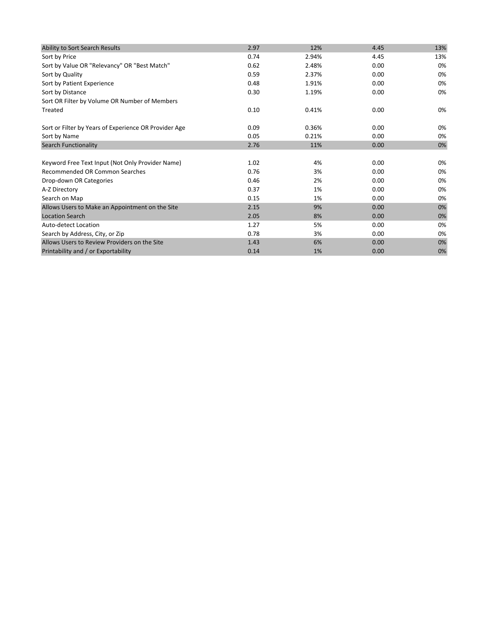| 2.97 | 12%   | 4.45 | 13% |
|------|-------|------|-----|
| 0.74 | 2.94% | 4.45 | 13% |
| 0.62 | 2.48% | 0.00 | 0%  |
| 0.59 | 2.37% | 0.00 | 0%  |
| 0.48 | 1.91% | 0.00 | 0%  |
| 0.30 | 1.19% | 0.00 | 0%  |
|      |       |      |     |
| 0.10 | 0.41% | 0.00 | 0%  |
| 0.09 | 0.36% | 0.00 | 0%  |
| 0.05 | 0.21% | 0.00 | 0%  |
| 2.76 | 11%   | 0.00 | 0%  |
| 1.02 | 4%    | 0.00 | 0%  |
| 0.76 | 3%    | 0.00 | 0%  |
| 0.46 | 2%    | 0.00 | 0%  |
| 0.37 | 1%    | 0.00 | 0%  |
| 0.15 | 1%    | 0.00 | 0%  |
| 2.15 | 9%    | 0.00 | 0%  |
| 2.05 | 8%    | 0.00 | 0%  |
| 1.27 | 5%    | 0.00 | 0%  |
| 0.78 | 3%    | 0.00 | 0%  |
| 1.43 | 6%    | 0.00 | 0%  |
| 0.14 | 1%    | 0.00 | 0%  |
|      |       |      |     |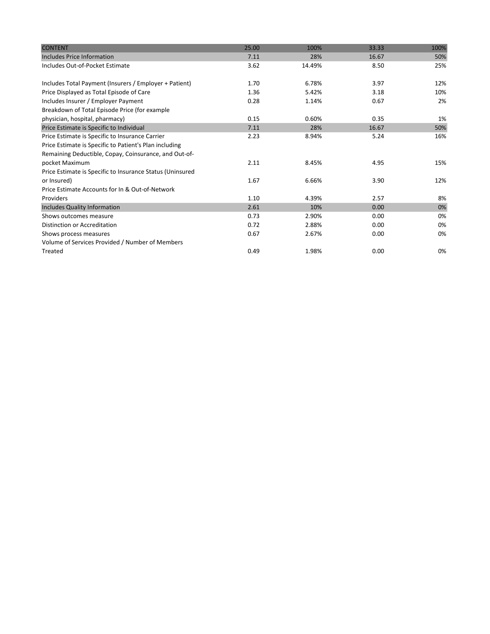| <b>CONTENT</b>                                            | 25.00 | 100%   | 33.33 | 100% |
|-----------------------------------------------------------|-------|--------|-------|------|
| Includes Price Information                                | 7.11  | 28%    | 16.67 | 50%  |
| Includes Out-of-Pocket Estimate                           | 3.62  | 14.49% | 8.50  | 25%  |
| Includes Total Payment (Insurers / Employer + Patient)    | 1.70  | 6.78%  | 3.97  | 12%  |
| Price Displayed as Total Episode of Care                  | 1.36  | 5.42%  | 3.18  | 10%  |
| Includes Insurer / Employer Payment                       | 0.28  | 1.14%  | 0.67  | 2%   |
| Breakdown of Total Episode Price (for example             |       |        |       |      |
| physician, hospital, pharmacy)                            | 0.15  | 0.60%  | 0.35  | 1%   |
| Price Estimate is Specific to Individual                  | 7.11  | 28%    | 16.67 | 50%  |
| Price Estimate is Specific to Insurance Carrier           | 2.23  | 8.94%  | 5.24  | 16%  |
| Price Estimate is Specific to Patient's Plan including    |       |        |       |      |
| Remaining Deductible, Copay, Coinsurance, and Out-of-     |       |        |       |      |
| pocket Maximum                                            | 2.11  | 8.45%  | 4.95  | 15%  |
| Price Estimate is Specific to Insurance Status (Uninsured |       |        |       |      |
| or Insured)                                               | 1.67  | 6.66%  | 3.90  | 12%  |
| Price Estimate Accounts for In & Out-of-Network           |       |        |       |      |
| Providers                                                 | 1.10  | 4.39%  | 2.57  | 8%   |
| <b>Includes Quality Information</b>                       | 2.61  | 10%    | 0.00  | 0%   |
| Shows outcomes measure                                    | 0.73  | 2.90%  | 0.00  | 0%   |
| Distinction or Accreditation                              | 0.72  | 2.88%  | 0.00  | 0%   |
| Shows process measures                                    | 0.67  | 2.67%  | 0.00  | 0%   |
| Volume of Services Provided / Number of Members           |       |        |       |      |
| Treated                                                   | 0.49  | 1.98%  | 0.00  | 0%   |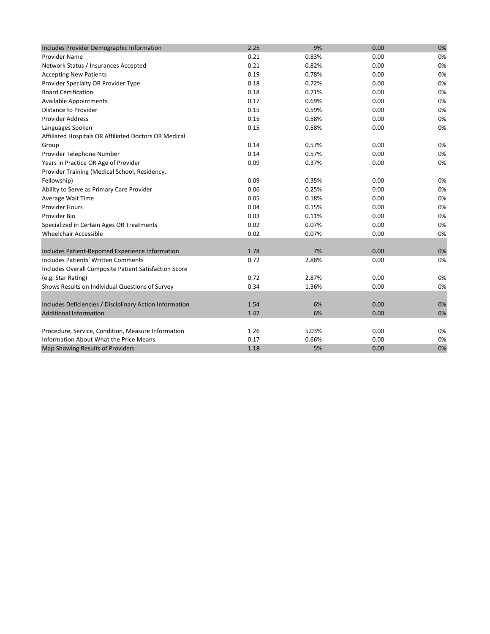| Includes Provider Demographic Information               | 2.25 | 9%    | 0.00 | 0% |
|---------------------------------------------------------|------|-------|------|----|
| Provider Name                                           | 0.21 | 0.83% | 0.00 | 0% |
| Network Status / Insurances Accepted                    | 0.21 | 0.82% | 0.00 | 0% |
| <b>Accepting New Patients</b>                           | 0.19 | 0.78% | 0.00 | 0% |
| Provider Specialty OR Provider Type                     | 0.18 | 0.72% | 0.00 | 0% |
| <b>Board Certification</b>                              | 0.18 | 0.71% | 0.00 | 0% |
| <b>Available Appointments</b>                           | 0.17 | 0.69% | 0.00 | 0% |
| <b>Distance to Provider</b>                             | 0.15 | 0.59% | 0.00 | 0% |
| <b>Provider Address</b>                                 | 0.15 | 0.58% | 0.00 | 0% |
| Languages Spoken                                        | 0.15 | 0.58% | 0.00 | 0% |
| Affiliated Hospitals OR Affiliated Doctors OR Medical   |      |       |      |    |
| Group                                                   | 0.14 | 0.57% | 0.00 | 0% |
| Provider Telephone Number                               | 0.14 | 0.57% | 0.00 | 0% |
| Years in Practice OR Age of Provider                    | 0.09 | 0.37% | 0.00 | 0% |
| Provider Training (Medical School, Residency,           |      |       |      |    |
| Fellowship)                                             | 0.09 | 0.35% | 0.00 | 0% |
| Ability to Serve as Primary Care Provider               | 0.06 | 0.25% | 0.00 | 0% |
| Average Wait Time                                       | 0.05 | 0.18% | 0.00 | 0% |
| <b>Provider Hours</b>                                   | 0.04 | 0.15% | 0.00 | 0% |
| Provider Bio                                            | 0.03 | 0.11% | 0.00 | 0% |
| Specialized in Certain Ages OR Treatments               | 0.02 | 0.07% | 0.00 | 0% |
| <b>Wheelchair Accessible</b>                            | 0.02 | 0.07% | 0.00 | 0% |
|                                                         |      |       |      |    |
| Includes Patient-Reported Experience Information        | 1.78 | 7%    | 0.00 | 0% |
| <b>Includes Patients' Written Comments</b>              | 0.72 | 2.88% | 0.00 | 0% |
| Includes Overall Composite Patient Satisfaction Score   |      |       |      |    |
| (e.g. Star Rating)                                      | 0.72 | 2.87% | 0.00 | 0% |
| Shows Results on Individual Questions of Survey         | 0.34 | 1.36% | 0.00 | 0% |
|                                                         |      |       |      |    |
| Includes Deficiencies / Disciplinary Action Information | 1.54 | 6%    | 0.00 | 0% |
| <b>Additional Information</b>                           | 1.42 | 6%    | 0.00 | 0% |
|                                                         |      |       |      |    |
| Procedure, Service, Condition, Measure Information      | 1.26 | 5.03% | 0.00 | 0% |
| Information About What the Price Means                  | 0.17 | 0.66% | 0.00 | 0% |
| Map Showing Results of Providers                        | 1.18 | 5%    | 0.00 | 0% |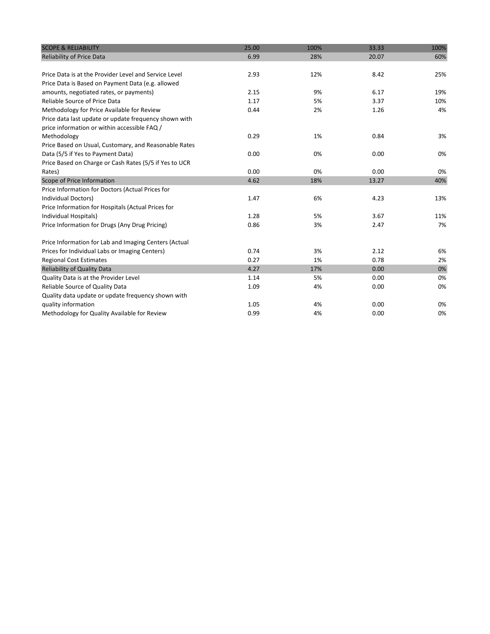| <b>SCOPE &amp; RELIABILITY</b>                         | 25.00 | 100% | 33.33 | 100% |
|--------------------------------------------------------|-------|------|-------|------|
| <b>Reliability of Price Data</b>                       | 6.99  | 28%  | 20.07 | 60%  |
|                                                        |       |      |       |      |
| Price Data is at the Provider Level and Service Level  | 2.93  | 12%  | 8.42  | 25%  |
| Price Data is Based on Payment Data (e.g. allowed      |       |      |       |      |
| amounts, negotiated rates, or payments)                | 2.15  | 9%   | 6.17  | 19%  |
| Reliable Source of Price Data                          | 1.17  | 5%   | 3.37  | 10%  |
| Methodology for Price Available for Review             | 0.44  | 2%   | 1.26  | 4%   |
| Price data last update or update frequency shown with  |       |      |       |      |
| price information or within accessible FAQ /           |       |      |       |      |
| Methodology                                            | 0.29  | 1%   | 0.84  | 3%   |
| Price Based on Usual, Customary, and Reasonable Rates  |       |      |       |      |
| Data (5/5 if Yes to Payment Data)                      | 0.00  | 0%   | 0.00  | 0%   |
| Price Based on Charge or Cash Rates (5/5 if Yes to UCR |       |      |       |      |
| Rates)                                                 | 0.00  | 0%   | 0.00  | 0%   |
| Scope of Price Information                             | 4.62  | 18%  | 13.27 | 40%  |
| Price Information for Doctors (Actual Prices for       |       |      |       |      |
| Individual Doctors)                                    | 1.47  | 6%   | 4.23  | 13%  |
| Price Information for Hospitals (Actual Prices for     |       |      |       |      |
| Individual Hospitals)                                  | 1.28  | 5%   | 3.67  | 11%  |
| Price Information for Drugs (Any Drug Pricing)         | 0.86  | 3%   | 2.47  | 7%   |
|                                                        |       |      |       |      |
| Price Information for Lab and Imaging Centers (Actual  |       |      |       |      |
| Prices for Individual Labs or Imaging Centers)         | 0.74  | 3%   | 2.12  | 6%   |
| <b>Regional Cost Estimates</b>                         | 0.27  | 1%   | 0.78  | 2%   |
| Reliability of Quality Data                            | 4.27  | 17%  | 0.00  | 0%   |
| Quality Data is at the Provider Level                  | 1.14  | 5%   | 0.00  | 0%   |
| Reliable Source of Quality Data                        | 1.09  | 4%   | 0.00  | 0%   |
| Quality data update or update frequency shown with     |       |      |       |      |
| quality information                                    | 1.05  | 4%   | 0.00  | 0%   |
| Methodology for Quality Available for Review           | 0.99  | 4%   | 0.00  | 0%   |